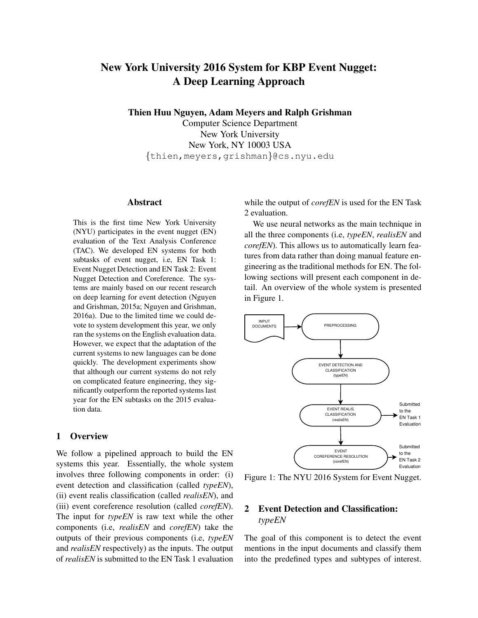# New York University 2016 System for KBP Event Nugget: A Deep Learning Approach

Thien Huu Nguyen, Adam Meyers and Ralph Grishman

Computer Science Department New York University New York, NY 10003 USA {thien,meyers,grishman}@cs.nyu.edu

# Abstract

This is the first time New York University (NYU) participates in the event nugget (EN) evaluation of the Text Analysis Conference (TAC). We developed EN systems for both subtasks of event nugget, i.e, EN Task 1: Event Nugget Detection and EN Task 2: Event Nugget Detection and Coreference. The systems are mainly based on our recent research on deep learning for event detection (Nguyen and Grishman, 2015a; Nguyen and Grishman, 2016a). Due to the limited time we could devote to system development this year, we only ran the systems on the English evaluation data. However, we expect that the adaptation of the current systems to new languages can be done quickly. The development experiments show that although our current systems do not rely on complicated feature engineering, they significantly outperform the reported systems last year for the EN subtasks on the 2015 evaluation data.

#### 1 Overview

We follow a pipelined approach to build the EN systems this year. Essentially, the whole system involves three following components in order: (i) event detection and classification (called *typeEN*), (ii) event realis classification (called *realisEN*), and (iii) event coreference resolution (called *corefEN*). The input for *typeEN* is raw text while the other components (i.e, *realisEN* and *corefEN*) take the outputs of their previous components (i.e, *typeEN* and *realisEN* respectively) as the inputs. The output of *realisEN* is submitted to the EN Task 1 evaluation while the output of *corefEN* is used for the EN Task 2 evaluation.

We use neural networks as the main technique in all the three components (i.e, *typeEN*, *realisEN* and *corefEN*). This allows us to automatically learn features from data rather than doing manual feature engineering as the traditional methods for EN. The following sections will present each component in detail. An overview of the whole system is presented in Figure 1.



Figure 1: The NYU 2016 System for Event Nugget.

# 2 Event Detection and Classification: *typeEN*

The goal of this component is to detect the event mentions in the input documents and classify them into the predefined types and subtypes of interest.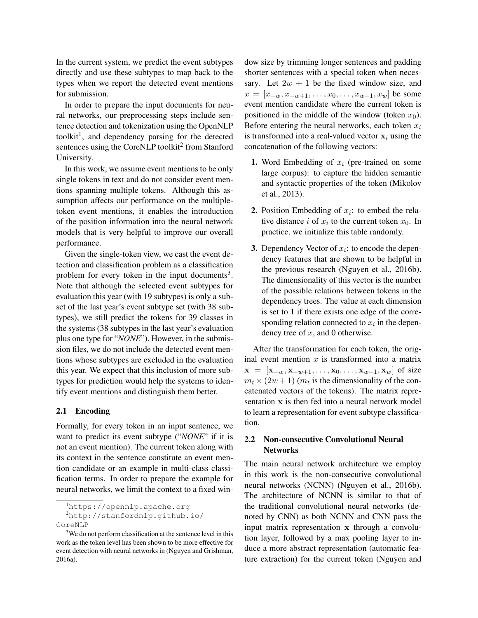In the current system, we predict the event subtypes directly and use these subtypes to map back to the types when we report the detected event mentions for submission.

In order to prepare the input documents for neural networks, our preprocessing steps include sentence detection and tokenization using the OpenNLP toolkit<sup>1</sup>, and dependency parsing for the detected sentences using the CoreNLP toolkit<sup>2</sup> from Stanford University.

In this work, we assume event mentions to be only single tokens in text and do not consider event mentions spanning multiple tokens. Although this assumption affects our performance on the multipletoken event mentions, it enables the introduction of the position information into the neural network models that is very helpful to improve our overall performance.

Given the single-token view, we cast the event detection and classification problem as a classification problem for every token in the input documents<sup>3</sup>. Note that although the selected event subtypes for evaluation this year (with 19 subtypes) is only a subset of the last year's event subtype set (with 38 subtypes), we still predict the tokens for 39 classes in the systems (38 subtypes in the last year's evaluation plus one type for "*NONE*"). However, in the submission files, we do not include the detected event mentions whose subtypes are excluded in the evaluation this year. We expect that this inclusion of more subtypes for prediction would help the systems to identify event mentions and distinguish them better.

# 2.1 Encoding

Formally, for every token in an input sentence, we want to predict its event subtype ("*NONE*" if it is not an event mention). The current token along with its context in the sentence constitute an event mention candidate or an example in multi-class classification terms. In order to prepare the example for neural networks, we limit the context to a fixed win-

<sup>2</sup>http://stanfordnlp.github.io/ CoreNLP

dow size by trimming longer sentences and padding shorter sentences with a special token when necessary. Let  $2w + 1$  be the fixed window size, and  $x = [x_{-w}, x_{-w+1}, \dots, x_0, \dots, x_{w-1}, x_w]$  be some event mention candidate where the current token is positioned in the middle of the window (token  $x_0$ ). Before entering the neural networks, each token  $x_i$ is transformed into a real-valued vector  $x_i$  using the concatenation of the following vectors:

- 1. Word Embedding of  $x_i$  (pre-trained on some large corpus): to capture the hidden semantic and syntactic properties of the token (Mikolov et al., 2013).
- **2.** Position Embedding of  $x_i$ : to embed the relative distance *i* of  $x_i$  to the current token  $x_0$ . In practice, we initialize this table randomly.
- **3.** Dependency Vector of  $x_i$ : to encode the dependency features that are shown to be helpful in the previous research (Nguyen et al., 2016b). The dimensionality of this vector is the number of the possible relations between tokens in the dependency trees. The value at each dimension is set to 1 if there exists one edge of the corresponding relation connected to  $x_i$  in the dependency tree of  $x$ , and 0 otherwise.

After the transformation for each token, the original event mention  $x$  is transformed into a matrix  $\mathbf{x} = [\mathbf{x}_{-w}, \mathbf{x}_{-w+1}, \dots, \mathbf{x}_0, \dots, \mathbf{x}_{w-1}, \mathbf{x}_w]$  of size  $m_t \times (2w+1)$  ( $m_t$  is the dimensionality of the concatenated vectors of the tokens). The matrix representation x is then fed into a neural network model to learn a representation for event subtype classification.

# 2.2 Non-consecutive Convolutional Neural **Networks**

The main neural network architecture we employ in this work is the non-consecutive convolutional neural networks (NCNN) (Nguyen et al., 2016b). The architecture of NCNN is similar to that of the traditional convolutional neural networks (denoted by CNN) as both NCNN and CNN pass the input matrix representation x through a convolution layer, followed by a max pooling layer to induce a more abstract representation (automatic feature extraction) for the current token (Nguyen and

<sup>1</sup>https://opennlp.apache.org

<sup>&</sup>lt;sup>3</sup>We do not perform classification at the sentence level in this work as the token level has been shown to be more effective for event detection with neural networks in (Nguyen and Grishman, 2016a).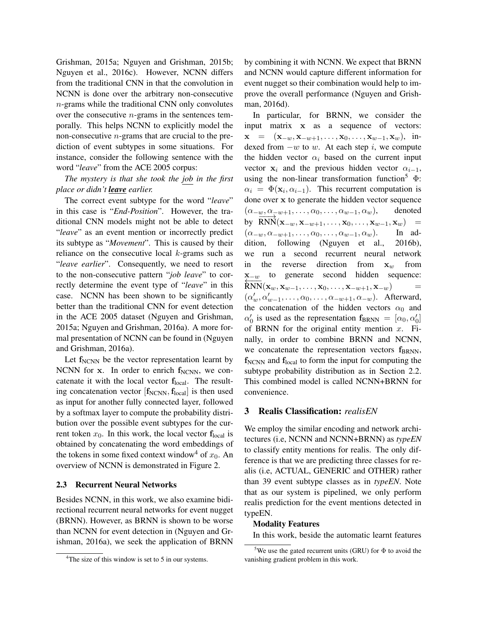Grishman, 2015a; Nguyen and Grishman, 2015b; Nguyen et al., 2016c). However, NCNN differs from the traditional CNN in that the convolution in NCNN is done over the arbitrary non-consecutive n-grams while the traditional CNN only convolutes over the consecutive  $n$ -grams in the sentences temporally. This helps NCNN to explicitly model the non-consecutive n-grams that are crucial to the prediction of event subtypes in some situations. For instance, consider the following sentence with the word "*leave*" from the ACE 2005 corpus:

*The mystery is that she took the job in the first place or didn't leave earlier.*

The correct event subtype for the word "*leave*" in this case is "*End-Position*". However, the traditional CNN models might not be able to detect "*leave*" as an event mention or incorrectly predict its subtype as "*Movement*". This is caused by their reliance on the consecutive local  $k$ -grams such as "*leave earlier*". Consequently, we need to resort to the non-consecutive pattern "*job leave*" to correctly determine the event type of "*leave*" in this case. NCNN has been shown to be significantly better than the traditional CNN for event detection in the ACE 2005 dataset (Nguyen and Grishman, 2015a; Nguyen and Grishman, 2016a). A more formal presentation of NCNN can be found in (Nguyen and Grishman, 2016a).

Let  $f_{NCNN}$  be the vector representation learnt by NCNN for  $x$ . In order to enrich  $f_{NCNN}$ , we concatenate it with the local vector  $f_{local}$ . The resulting concatenation vector  $[f_{\text{NCNN}}, f_{\text{local}}]$  is then used as input for another fully connected layer, followed by a softmax layer to compute the probability distribution over the possible event subtypes for the current token  $x_0$ . In this work, the local vector  $f_{local}$  is obtained by concatenating the word embeddings of the tokens in some fixed context window<sup>4</sup> of  $x_0$ . An overview of NCNN is demonstrated in Figure 2.

### 2.3 Recurrent Neural Networks

Besides NCNN, in this work, we also examine bidirectional recurrent neural networks for event nugget (BRNN). However, as BRNN is shown to be worse than NCNN for event detection in (Nguyen and Grishman, 2016a), we seek the application of BRNN by combining it with NCNN. We expect that BRNN and NCNN would capture different information for event nugget so their combination would help to improve the overall performance (Nguyen and Grishman, 2016d).

In particular, for BRNN, we consider the input matrix x as a sequence of vectors:  $x = (x_{-w}, x_{-w+1}, \ldots, x_0, \ldots, x_{w-1}, x_w),$  indexed from  $-w$  to w. At each step i, we compute the hidden vector  $\alpha_i$  based on the current input vector  $x_i$  and the previous hidden vector  $\alpha_{i-1}$ , using the non-linear transformation function<sup>5</sup>  $\Phi$ :  $\alpha_i = \Phi(\mathbf{x}_i, \alpha_{i-1})$ . This recurrent computation is done over x to generate the hidden vector sequence  $(\alpha_{-w}, \alpha_{-w+1}, \ldots, \alpha_0, \ldots, \alpha_{w-1}, \alpha_w)$ , denoted by  $\overrightarrow{RNN}(\mathbf{x}_{-w}, \mathbf{x}_{-w+1}, \dots, \mathbf{x}_0, \dots, \mathbf{x}_{w-1}, \mathbf{x}_w) =$  $(\alpha_{-w}, \alpha_{-w+1}, \ldots, \alpha_0, \ldots, \alpha_{w-1}, \alpha_w).$  In addition, following (Nguyen et al., 2016b), we run a second recurrent neural network in the reverse direction from  $x_w$  from  $x_{-w}$  to generate second hidden sequence:<br>  $\frac{\text{RNN}}{\text{RNN}}(x_{w}, x_{w-1}, \ldots, x_{0}, \ldots, x_{w+1}, x_{w})$  =  $\text{RNN}(\mathbf{x}_w, \mathbf{x}_{w-1}, \dots, \mathbf{x}_0, \dots, \mathbf{x}_{-w+1}, \mathbf{x}_{-w})$  $(\alpha'_w, \alpha'_{w-1}, \ldots, \alpha_0, \ldots, \alpha_{-w+1}, \alpha_{-w}).$  Afterward, the concatenation of the hidden vectors  $\alpha_0$  and  $\alpha_0'$  is used as the representation  $\mathbf{f}_{\text{BRNN}} = [\alpha_0, \alpha_0']$ of BRNN for the original entity mention  $x$ . Finally, in order to combine BRNN and NCNN, we concatenate the representation vectors  $f_{BRNN}$ ,  $f_{NCNN}$  and  $f_{local}$  to form the input for computing the subtype probability distribution as in Section 2.2. This combined model is called NCNN+BRNN for convenience.

#### 3 Realis Classification: *realisEN*

We employ the similar encoding and network architectures (i.e, NCNN and NCNN+BRNN) as *typeEN* to classify entity mentions for realis. The only difference is that we are predicting three classes for realis (i.e, ACTUAL, GENERIC and OTHER) rather than 39 event subtype classes as in *typeEN*. Note that as our system is pipelined, we only perform realis prediction for the event mentions detected in typeEN.

#### Modality Features

In this work, beside the automatic learnt features

<sup>&</sup>lt;sup>4</sup>The size of this window is set to 5 in our systems.

<sup>&</sup>lt;sup>5</sup>We use the gated recurrent units (GRU) for  $\Phi$  to avoid the vanishing gradient problem in this work.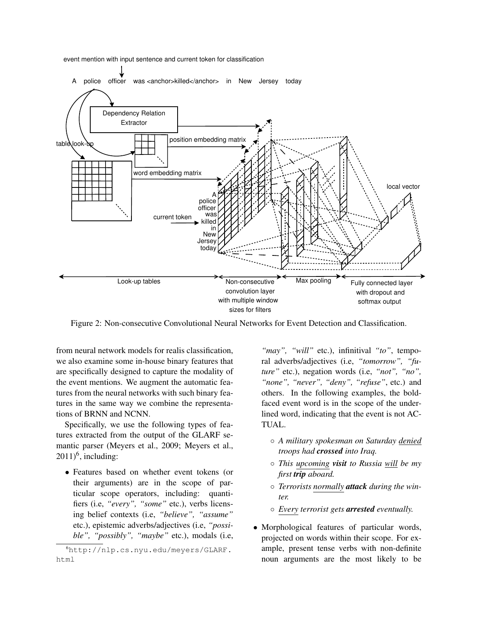

event mention with input sentence and current token for classification

Figure 2: Non-consecutive Convolutional Neural Networks for Event Detection and Classification.

from neural network models for realis classification, we also examine some in-house binary features that are specifically designed to capture the modality of the event mentions. We augment the automatic features from the neural networks with such binary features in the same way we combine the representations of BRNN and NCNN.

Specifically, we use the following types of features extracted from the output of the GLARF semantic parser (Meyers et al., 2009; Meyers et al.,  $(2011)^6$ , including:

• Features based on whether event tokens (or their arguments) are in the scope of particular scope operators, including: quantifiers (i.e, *"every", "some"* etc.), verbs licensing belief contexts (i.e, *"believe", "assume"* etc.), epistemic adverbs/adjectives (i.e, *"possible", "possibly", "maybe"* etc.), modals (i.e,

*"may", "will"* etc.), infinitival *"to"*, temporal adverbs/adjectives (i.e, *"tomorrow", "future"* etc.), negation words (i.e, *"not", "no", "none", "never", "deny", "refuse"*, etc.) and others. In the following examples, the boldfaced event word is in the scope of the underlined word, indicating that the event is not AC-TUAL.

- *A military spokesman on Saturday denied troops had crossed into Iraq.*
- *This upcoming visit to Russia will be my first trip aboard.*
- *Terrorists normally attack during the winter.*
- *Every terrorist gets arrested eventually.*
- Morphological features of particular words, projected on words within their scope. For example, present tense verbs with non-definite noun arguments are the most likely to be

<sup>6</sup>http://nlp.cs.nyu.edu/meyers/GLARF. html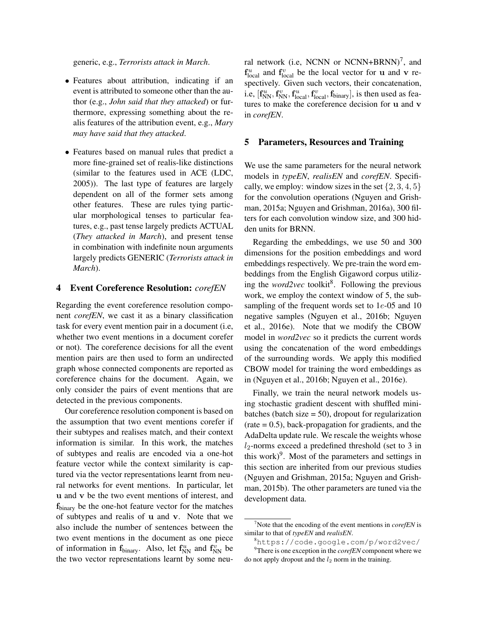generic, e.g., *Terrorists attack in March*.

- Features about attribution, indicating if an event is attributed to someone other than the author (e.g., *John said that they attacked*) or furthermore, expressing something about the realis features of the attribution event, e.g., *Mary may have said that they attacked*.
- Features based on manual rules that predict a more fine-grained set of realis-like distinctions (similar to the features used in ACE (LDC, 2005)). The last type of features are largely dependent on all of the former sets among other features. These are rules tying particular morphological tenses to particular features, e.g., past tense largely predicts ACTUAL (*They attacked in March*), and present tense in combination with indefinite noun arguments largely predicts GENERIC (*Terrorists attack in March*).

#### 4 Event Coreference Resolution: *corefEN*

Regarding the event coreference resolution component *corefEN*, we cast it as a binary classification task for every event mention pair in a document (i.e, whether two event mentions in a document corefer or not). The coreference decisions for all the event mention pairs are then used to form an undirected graph whose connected components are reported as coreference chains for the document. Again, we only consider the pairs of event mentions that are detected in the previous components.

Our coreference resolution component is based on the assumption that two event mentions corefer if their subtypes and realises match, and their context information is similar. In this work, the matches of subtypes and realis are encoded via a one-hot feature vector while the context similarity is captured via the vector representations learnt from neural networks for event mentions. In particular, let u and v be the two event mentions of interest, and fbinary be the one-hot feature vector for the matches of subtypes and realis of u and v. Note that we also include the number of sentences between the two event mentions in the document as one piece of information in  $f_{\text{binary}}$ . Also, let  $f_{\text{NN}}^u$  and  $f_{\text{NN}}^v$  be the two vector representations learnt by some neu-

ral network (i.e, NCNN or NCNN+BRNN)<sup>7</sup>, and  $\mathbf{f}_{\text{local}}^u$  and  $\mathbf{f}_{\text{local}}^v$  be the local vector for **u** and **v** respectively. Given such vectors, their concatenation, i.e,  $[\mathbf{f}_{NN}^u, \mathbf{f}_{NN}^v, \mathbf{f}_{local}^u, \mathbf{f}_{local}^v, \mathbf{f}_{binary}^t]$ , is then used as features to make the coreference decision for u and v in *corefEN*.

#### 5 Parameters, Resources and Training

We use the same parameters for the neural network models in *typeEN*, *realisEN* and *corefEN*. Specifically, we employ: window sizes in the set  $\{2, 3, 4, 5\}$ for the convolution operations (Nguyen and Grishman, 2015a; Nguyen and Grishman, 2016a), 300 filters for each convolution window size, and 300 hidden units for BRNN.

Regarding the embeddings, we use 50 and 300 dimensions for the position embeddings and word embeddings respectively. We pre-train the word embeddings from the English Gigaword corpus utilizing the *word2vec* toolkit<sup>8</sup>. Following the previous work, we employ the context window of 5, the subsampling of the frequent words set to 1e-05 and 10 negative samples (Nguyen et al., 2016b; Nguyen et al., 2016e). Note that we modify the CBOW model in *word2vec* so it predicts the current words using the concatenation of the word embeddings of the surrounding words. We apply this modified CBOW model for training the word embeddings as in (Nguyen et al., 2016b; Nguyen et al., 2016e).

Finally, we train the neural network models using stochastic gradient descent with shuffled minibatches (batch size  $= 50$ ), dropout for regularization  $(\text{rate} = 0.5)$ , back-propagation for gradients, and the AdaDelta update rule. We rescale the weights whose  $l_2$ -norms exceed a predefined threshold (set to 3 in this work)<sup>9</sup>. Most of the parameters and settings in this section are inherited from our previous studies (Nguyen and Grishman, 2015a; Nguyen and Grishman, 2015b). The other parameters are tuned via the development data.

<sup>7</sup>Note that the encoding of the event mentions in *corefEN* is similar to that of *typeEN* and *realisEN*.

<sup>8</sup>https://code.google.com/p/word2vec/

<sup>9</sup>There is one exception in the *corefEN* component where we do not apply dropout and the  $l_2$  norm in the training.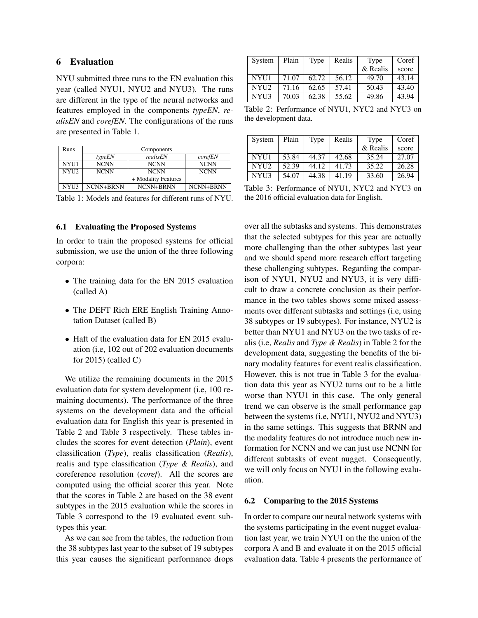# 6 Evaluation

NYU submitted three runs to the EN evaluation this year (called NYU1, NYU2 and NYU3). The runs are different in the type of the neural networks and features employed in the components *typeEN*, *realisEN* and *corefEN*. The configurations of the runs are presented in Table 1.

| Runs             | Components  |                     |             |  |  |
|------------------|-------------|---------------------|-------------|--|--|
|                  | typeEN      | realisEN            | corefEN     |  |  |
| NYU1             | <b>NCNN</b> | <b>NCNN</b>         | <b>NCNN</b> |  |  |
| NYU <sub>2</sub> | <b>NCNN</b> | <b>NCNN</b>         | <b>NCNN</b> |  |  |
|                  |             | + Modality Features |             |  |  |
| NYU3             | NCNN+BRNN   | NCNN+BRNN           | NCNN+BRNN   |  |  |

Table 1: Models and features for different runs of NYU.

### 6.1 Evaluating the Proposed Systems

In order to train the proposed systems for official submission, we use the union of the three following corpora:

- The training data for the EN 2015 evaluation (called A)
- The DEFT Rich ERE English Training Annotation Dataset (called B)
- Haft of the evaluation data for EN 2015 evaluation (i.e, 102 out of 202 evaluation documents for  $2015$ ) (called C)

We utilize the remaining documents in the 2015 evaluation data for system development (i.e, 100 remaining documents). The performance of the three systems on the development data and the official evaluation data for English this year is presented in Table 2 and Table 3 respectively. These tables includes the scores for event detection (*Plain*), event classification (*Type*), realis classification (*Realis*), realis and type classification (*Type & Realis*), and coreference resolution (*coref*). All the scores are computed using the official scorer this year. Note that the scores in Table 2 are based on the 38 event subtypes in the 2015 evaluation while the scores in Table 3 correspond to the 19 evaluated event subtypes this year.

As we can see from the tables, the reduction from the 38 subtypes last year to the subset of 19 subtypes this year causes the significant performance drops

| System | Plain | Type  | Realis | Type     | Coref |
|--------|-------|-------|--------|----------|-------|
|        |       |       |        | & Realis | score |
| NYU1   | 71.07 | 62.72 | 56.12  | 49.70    | 43.14 |
| NYU2   | 71.16 | 62.65 | 57.41  | 50.43    | 43.40 |
| NYU3   | 70.03 | 62.38 | 55.62  | 49.86    | 43.94 |

Table 2: Performance of NYU1, NYU2 and NYU3 on the development data.

| System           | Plain | Type  | Realis | Type     | Coref |
|------------------|-------|-------|--------|----------|-------|
|                  |       |       |        | & Realis | score |
| NYU1             | 53.84 | 44.37 | 42.68  | 35.24    | 27.07 |
| NYU <sub>2</sub> | 52.39 | 44.12 | 41.73  | 35.22    | 26.28 |
| NYU3             | 54.07 | 44.38 | 41.19  | 33.60    | 26.94 |

Table 3: Performance of NYU1, NYU2 and NYU3 on the 2016 official evaluation data for English.

over all the subtasks and systems. This demonstrates that the selected subtypes for this year are actually more challenging than the other subtypes last year and we should spend more research effort targeting these challenging subtypes. Regarding the comparison of NYU1, NYU2 and NYU3, it is very difficult to draw a concrete conclusion as their performance in the two tables shows some mixed assessments over different subtasks and settings (i.e, using 38 subtypes or 19 subtypes). For instance, NYU2 is better than NYU1 and NYU3 on the two tasks of realis (i.e, *Realis* and *Type & Realis*) in Table 2 for the development data, suggesting the benefits of the binary modality features for event realis classification. However, this is not true in Table 3 for the evaluation data this year as NYU2 turns out to be a little worse than NYU1 in this case. The only general trend we can observe is the small performance gap between the systems (i.e, NYU1, NYU2 and NYU3) in the same settings. This suggests that BRNN and the modality features do not introduce much new information for NCNN and we can just use NCNN for different subtasks of event nugget. Consequently, we will only focus on NYU1 in the following evaluation.

### 6.2 Comparing to the 2015 Systems

In order to compare our neural network systems with the systems participating in the event nugget evaluation last year, we train NYU1 on the the union of the corpora A and B and evaluate it on the 2015 official evaluation data. Table 4 presents the performance of